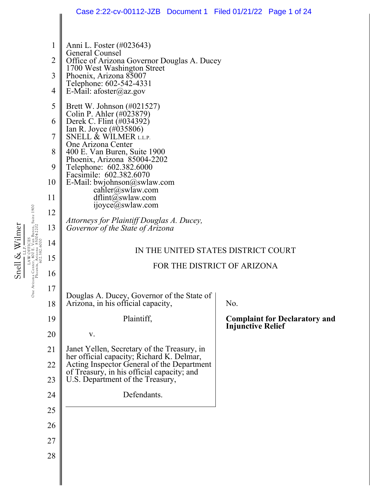|                                                                                         |                | Case 2:22-cv-00112-JZB  Document 1  Filed 01/21/22  Page 1 of 24                                                                                          |                                                                  |  |
|-----------------------------------------------------------------------------------------|----------------|-----------------------------------------------------------------------------------------------------------------------------------------------------------|------------------------------------------------------------------|--|
|                                                                                         |                |                                                                                                                                                           |                                                                  |  |
| an Buren, Suite 1900<br>5004-2202<br>Snell & Wilmer<br>Arizona Cente<br>Phoenix,<br>One | 1              | Anni L. Foster (#023643)<br>General Counsel                                                                                                               |                                                                  |  |
|                                                                                         | $\overline{2}$ | Office of Arizona Governor Douglas A. Ducey<br>1700 West Washington Street<br>Phoenix, Arizona 85007<br>Telephone: 602-542-4331<br>E-Mail: afoster@az.gov |                                                                  |  |
|                                                                                         | 3<br>4         |                                                                                                                                                           |                                                                  |  |
|                                                                                         | 5              | Brett W. Johnson $(\text{\#}021527)$<br>Colin P. Ahler (#023879)                                                                                          |                                                                  |  |
|                                                                                         | 6              | Derek C. Flint (#034392)<br>Ian R. Joyce (#035806)<br>SNELL & WILMER L.L.P.                                                                               |                                                                  |  |
|                                                                                         | 7              | One Arizona Center                                                                                                                                        |                                                                  |  |
|                                                                                         | 8<br>9         | 400 E. Van Buren, Suite 1900<br>Phoenix, Arizona 85004-2202<br>Telephone: 602.382.6000<br>Facsimile: 602.382.6070                                         |                                                                  |  |
|                                                                                         | 10             | E-Mail: bwjohnson@swlaw.com                                                                                                                               |                                                                  |  |
|                                                                                         | 11             | cahler@swlaw.com<br>dflint@swlaw.com                                                                                                                      |                                                                  |  |
|                                                                                         | 12             | ijoyce@swlaw.com                                                                                                                                          |                                                                  |  |
|                                                                                         | 13             | Attorneys for Plaintiff Douglas A. Ducey,<br>Governor of the State of Arizona                                                                             |                                                                  |  |
|                                                                                         | 14             | IN THE UNITED STATES DISTRICT COURT                                                                                                                       |                                                                  |  |
|                                                                                         | 15             | FOR THE DISTRICT OF ARIZONA                                                                                                                               |                                                                  |  |
|                                                                                         | 16             |                                                                                                                                                           |                                                                  |  |
|                                                                                         | 17             | Douglas A. Ducey, Governor of the State of                                                                                                                |                                                                  |  |
|                                                                                         | 18             | Arizona, in his official capacity,                                                                                                                        | No.                                                              |  |
|                                                                                         | 19             | Plaintiff,                                                                                                                                                | <b>Complaint for Declaratory and</b><br><b>Injunctive Relief</b> |  |
|                                                                                         | 20             | $\mathbf{V}$ .                                                                                                                                            |                                                                  |  |
|                                                                                         | 21             | Janet Yellen, Secretary of the Treasury, in<br>her official capacity; Richard K. Delmar,                                                                  |                                                                  |  |
|                                                                                         | 22<br>23       | Acting Inspector General of the Department<br>of Treasury, in his official capacity; and<br>U.S. Department of the Treasury,                              |                                                                  |  |
|                                                                                         | 24             | Defendants.                                                                                                                                               |                                                                  |  |
|                                                                                         | 25             |                                                                                                                                                           |                                                                  |  |
|                                                                                         | 26             |                                                                                                                                                           |                                                                  |  |
|                                                                                         | 27             |                                                                                                                                                           |                                                                  |  |
|                                                                                         | 28             |                                                                                                                                                           |                                                                  |  |
|                                                                                         |                |                                                                                                                                                           |                                                                  |  |
|                                                                                         |                |                                                                                                                                                           |                                                                  |  |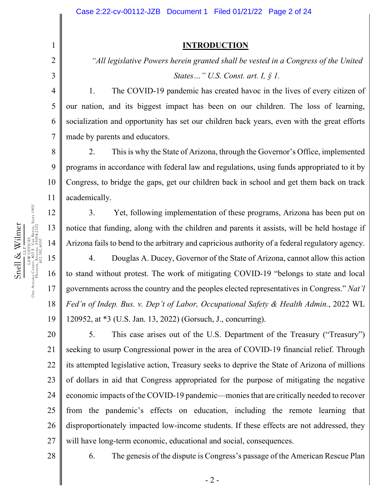#### **INTRODUCTION**

*"All legislative Powers herein granted shall be vested in a Congress of the United States…" U.S. Const. art. I, § 1.* 

1. The COVID-19 pandemic has created havoc in the lives of every citizen of our nation, and its biggest impact has been on our children. The loss of learning, socialization and opportunity has set our children back years, even with the great efforts made by parents and educators.

2. This is why the State of Arizona, through the Governor's Office, implemented programs in accordance with federal law and regulations, using funds appropriated to it by Congress, to bridge the gaps, get our children back in school and get them back on track academically.

3. Yet, following implementation of these programs, Arizona has been put on notice that funding, along with the children and parents it assists, will be held hostage if Arizona fails to bend to the arbitrary and capricious authority of a federal regulatory agency.

19 4. Douglas A. Ducey, Governor of the State of Arizona, cannot allow this action to stand without protest. The work of mitigating COVID-19 "belongs to state and local governments across the country and the peoples elected representatives in Congress." *Nat'l Fed'n of Indep. Bus. v. Dep't of Labor, Occupational Safety & Health Admin.*, 2022 WL 120952, at \*3 (U.S. Jan. 13, 2022) (Gorsuch, J., concurring).

20 21 22 23 24 25 26 27 5. This case arises out of the U.S. Department of the Treasury ("Treasury") seeking to usurp Congressional power in the area of COVID-19 financial relief. Through its attempted legislative action, Treasury seeks to deprive the State of Arizona of millions of dollars in aid that Congress appropriated for the purpose of mitigating the negative economic impacts of the COVID-19 pandemic—monies that are critically needed to recover from the pandemic's effects on education, including the remote learning that disproportionately impacted low-income students. If these effects are not addressed, they will have long-term economic, educational and social, consequences.

28

1

2

3

4

5

6

7

8

9

10

11

12

13

14

15

Snell & Wilmer L.L.P. LAW OFFICES One Arizona Center, 400 E. Van Buren, Suite 1900 Phoenix, Arizona 85004-2202 602.382.6000

Snell & Wilmer

16

17

18

6. The genesis of the dispute is Congress's passage of the American Rescue Plan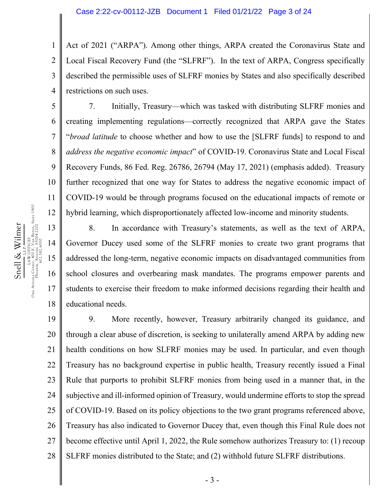1 2 3 4 Act of 2021 ("ARPA"). Among other things, ARPA created the Coronavirus State and Local Fiscal Recovery Fund (the "SLFRF"). In the text of ARPA, Congress specifically described the permissible uses of SLFRF monies by States and also specifically described restrictions on such uses.

7. Initially, Treasury—which was tasked with distributing SLFRF monies and creating implementing regulations—correctly recognized that ARPA gave the States "*broad latitude* to choose whether and how to use the [SLFRF funds] to respond to and *address the negative economic impact*" of COVID-19. Coronavirus State and Local Fiscal Recovery Funds, 86 Fed. Reg. 26786, 26794 (May 17, 2021) (emphasis added). Treasury further recognized that one way for States to address the negative economic impact of COVID-19 would be through programs focused on the educational impacts of remote or hybrid learning, which disproportionately affected low-income and minority students.

8. In accordance with Treasury's statements, as well as the text of ARPA, Governor Ducey used some of the SLFRF monies to create two grant programs that addressed the long-term, negative economic impacts on disadvantaged communities from school closures and overbearing mask mandates. The programs empower parents and students to exercise their freedom to make informed decisions regarding their health and educational needs.

19 20 21 22 23 24 25 26 27 28 9. More recently, however, Treasury arbitrarily changed its guidance, and through a clear abuse of discretion, is seeking to unilaterally amend ARPA by adding new health conditions on how SLFRF monies may be used. In particular, and even though Treasury has no background expertise in public health, Treasury recently issued a Final Rule that purports to prohibit SLFRF monies from being used in a manner that, in the subjective and ill-informed opinion of Treasury, would undermine efforts to stop the spread of COVID-19. Based on its policy objections to the two grant programs referenced above, Treasury has also indicated to Governor Ducey that, even though this Final Rule does not become effective until April 1, 2022, the Rule somehow authorizes Treasury to: (1) recoup SLFRF monies distributed to the State; and (2) withhold future SLFRF distributions.

5

6

7

8

9

10

11

12

13

14

15

16

17

18

- 3 -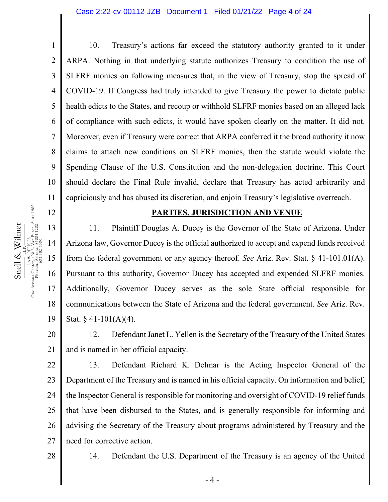1 2 3 4 5 6 7 8 9 10 11 10. Treasury's actions far exceed the statutory authority granted to it under ARPA. Nothing in that underlying statute authorizes Treasury to condition the use of SLFRF monies on following measures that, in the view of Treasury, stop the spread of COVID-19. If Congress had truly intended to give Treasury the power to dictate public health edicts to the States, and recoup or withhold SLFRF monies based on an alleged lack of compliance with such edicts, it would have spoken clearly on the matter. It did not. Moreover, even if Treasury were correct that ARPA conferred it the broad authority it now claims to attach new conditions on SLFRF monies, then the statute would violate the Spending Clause of the U.S. Constitution and the non-delegation doctrine. This Court should declare the Final Rule invalid, declare that Treasury has acted arbitrarily and capriciously and has abused its discretion, and enjoin Treasury's legislative overreach.

#### **PARTIES, JURISDICTION AND VENUE**

11. Plaintiff Douglas A. Ducey is the Governor of the State of Arizona. Under Arizona law, Governor Ducey is the official authorized to accept and expend funds received from the federal government or any agency thereof. *See* Ariz. Rev. Stat. § 41-101.01(A). Pursuant to this authority, Governor Ducey has accepted and expended SLFRF monies. Additionally, Governor Ducey serves as the sole State official responsible for communications between the State of Arizona and the federal government. *See* Ariz. Rev. Stat.  $§$  41-101(A)(4).

20 21 12. Defendant Janet L. Yellen is the Secretary of the Treasury of the United States and is named in her official capacity.

22 23 24 25 26 27 13. Defendant Richard K. Delmar is the Acting Inspector General of the Department of the Treasury and is named in his official capacity. On information and belief, the Inspector General is responsible for monitoring and oversight of COVID-19 relief funds that have been disbursed to the States, and is generally responsible for informing and advising the Secretary of the Treasury about programs administered by Treasury and the need for corrective action.

28

14. Defendant the U.S. Department of the Treasury is an agency of the United

12

13

14

15

16

17

18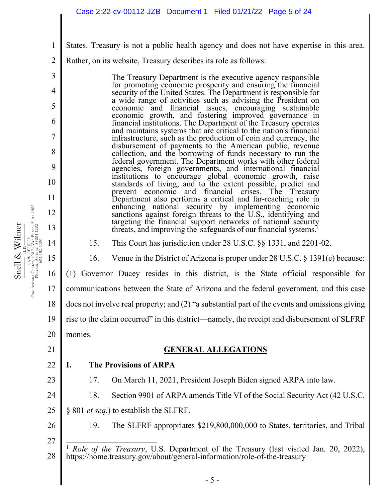- States. Treasury is not a public health agency and does not have expertise in this area.
- 2 Rather, on its website, Treasury describes its role as follows:

The Treasury Department is the executive agency responsible for promoting economic prosperity and ensuring the financial security of the United States. The Department is responsible for a wide range of activities such as advising the President on economic and financial issues, encouraging sustainable economic growth, and fostering improved governance in financial institutions. The Department of the Treasury operates and maintains systems that are critical to the nation's financial infrastructure, such as the production of coin and currency, the disbursement of payments to the American public, revenue collection, and the borrowing of funds necessary to run the federal government. The Department works with other federal agencies, foreign governments, and international financial institutions to encourage global economic growth, raise standards of living, and to the extent possible, predict and prevent economic and financial crises. The Treasury Department also performs a critical and far-reaching role in enhancing national security by implementing economic sanctions against foreign threats to the U.S., identifying and targeting the financial support networks of national security threats, and improving the safeguards of our financial systems.<sup>1</sup>

15. This Court has jurisdiction under 28 U.S.C. §§ 1331, and 2201-02.

16. Venue in the District of Arizona is proper under 28 U.S.C. § 1391(e) because:

(1) Governor Ducey resides in this district, is the State official responsible for

17 communications between the State of Arizona and the federal government, and this case

18 does not involve real property; and (2) "a substantial part of the events and omissions giving

19 rise to the claim occurred" in this district—namely, the receipt and disbursement of SLFRF

20 monies.

# 21

1

3

4

5

6

7

8

9

10

11

12

13

14

15

Snell & Wilmer L.L.P. LAW OFFICES One Arizona Center, 400 E. Van Buren, Suite 1900 Phoenix, Arizona 85004-2202 602.382.6000

Snell & Wilmer

LAW OFFICES<br>One Arizona Center, 400 E. Van Buren, Suite 1900<br>Phoenix, A2.532.60004-2202<br>2.532.6000

16

## **GENERAL ALLEGATIONS**

22

## **I. The Provisions of ARPA**

23

24

17. On March 11, 2021, President Joseph Biden signed ARPA into law.

- 18. Section 9901 of ARPA amends Title VI of the Social Security Act (42 U.S.C.
- 25 § 801 *et seq.*) to establish the SLFRF.

26 27 19. The SLFRF appropriates \$219,800,000,000 to States, territories, and Tribal

<sup>28</sup>  <sup>1</sup> *Role of the Treasury*, U.S. Department of the Treasury (last visited Jan. 20, 2022), https://home.treasury.gov/about/general-information/role-of-the-treasury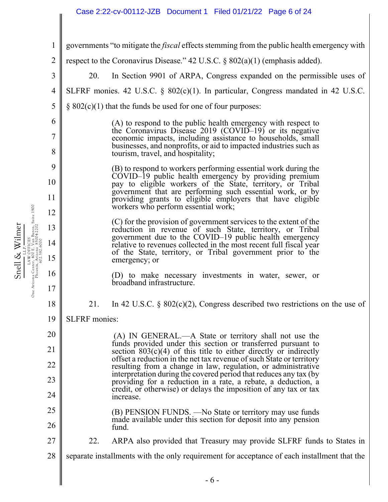# Case 2:22-cv-00112-JZB Document 1 Filed 01/21/22 Page 6 of 24

|                | Case 2.22-00-00112-02D Document 1 High 01/21/22 Tage 0 01 24                                                                                                                               |  |  |
|----------------|--------------------------------------------------------------------------------------------------------------------------------------------------------------------------------------------|--|--|
| 1              | governments "to mitigate the <i>fiscal</i> effects stemming from the public health emergency with                                                                                          |  |  |
| $\overline{2}$ | respect to the Coronavirus Disease." 42 U.S.C. $\S 802(a)(1)$ (emphasis added).                                                                                                            |  |  |
| 3              | 20.<br>In Section 9901 of ARPA, Congress expanded on the permissible uses of                                                                                                               |  |  |
| $\overline{4}$ | SLFRF monies. 42 U.S.C. $\S$ 802(c)(1). In particular, Congress mandated in 42 U.S.C.                                                                                                      |  |  |
| 5              | $\S$ 802(c)(1) that the funds be used for one of four purposes:                                                                                                                            |  |  |
| 6              | (A) to respond to the public health emergency with respect to                                                                                                                              |  |  |
| 7              | the Coronavirus Disease 2019 (COVID-19) or its negative<br>economic impacts, including assistance to households, small                                                                     |  |  |
| 8              | businesses, and nonprofits, or aid to impacted industries such as<br>tourism, travel, and hospitality;                                                                                     |  |  |
| 9              | (B) to respond to workers performing essential work during the<br>COVID-19 public health emergency by providing premium                                                                    |  |  |
| 10             | pay to eligible workers of the State, territory, or Tribal<br>government that are performing such essential work, or by                                                                    |  |  |
| 11             | providing grants to eligible employers that have eligible<br>workers who perform essential work;                                                                                           |  |  |
| 12             | (C) for the provision of government services to the extent of the                                                                                                                          |  |  |
| 13             | reduction in revenue of such State, territory, or Tribal                                                                                                                                   |  |  |
| 14             | government due to the COVID-19 public health emergency<br>relative to revenues collected in the most recent full fiscal year<br>of the State, territory, or Tribal government prior to the |  |  |
| 15             | emergency; or                                                                                                                                                                              |  |  |
| 16<br>17       | (D) to make necessary investments in water, sewer, or<br>broadband infrastructure.                                                                                                         |  |  |
| 18             | In 42 U.S.C. § $802(c)(2)$ , Congress described two restrictions on the use of<br>21.                                                                                                      |  |  |
| 19             | <b>SLFRF</b> monies:                                                                                                                                                                       |  |  |
| 20             | (A) IN GENERAL.—A State or territory shall not use the                                                                                                                                     |  |  |
| 21             | funds provided under this section or transferred pursuant to<br>section $803(c)(4)$ of this title to either directly or indirectly                                                         |  |  |
| 22             | offset a reduction in the net tax revenue of such State or territory<br>resulting from a change in law, regulation, or administrative                                                      |  |  |
| 23             | interpretation during the covered period that reduces any tax (by<br>providing for a reduction in a rate, a rebate, a deduction, a                                                         |  |  |
| 24             | credit, or otherwise) or delays the imposition of any tax or tax<br>increase.                                                                                                              |  |  |
| 25             | (B) PENSION FUNDS. — No State or territory may use funds                                                                                                                                   |  |  |
| 26             | made available under this section for deposit into any pension<br>fund.                                                                                                                    |  |  |
| 27             | 22.<br>ARPA also provided that Treasury may provide SLFRF funds to States in                                                                                                               |  |  |
| 28             | separate installments with the only requirement for acceptance of each installment that the                                                                                                |  |  |
|                | $-6-$                                                                                                                                                                                      |  |  |

Snell & Wilmer Snell & Wilmer<br>one Arizona Center, 400 E Van Buren, Suite 1900<br>One Arizona Center, 400 E Van Buren, Suite 1900<br>Phoenix, 621382.80000 LAW OFFICES One Arizona Center, 400 E. Van Buren, Suite 1900 Phoenix, Arizona 85004-2202 602.382.6000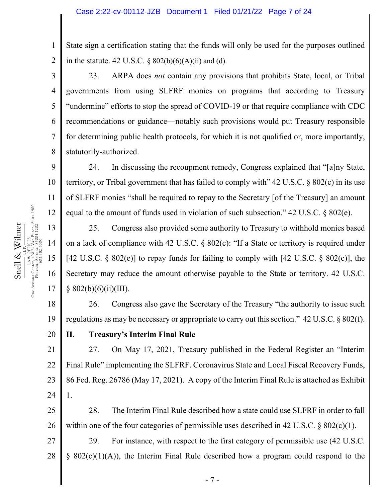State sign a certification stating that the funds will only be used for the purposes outlined in the statute.  $42 \text{ U.S.C. }$  §  $802(b)(6)(A)(ii)$  and (d).

23. ARPA does *not* contain any provisions that prohibits State, local, or Tribal governments from using SLFRF monies on programs that according to Treasury "undermine" efforts to stop the spread of COVID-19 or that require compliance with CDC recommendations or guidance—notably such provisions would put Treasury responsible for determining public health protocols, for which it is not qualified or, more importantly, statutorily-authorized.

24. In discussing the recoupment remedy, Congress explained that "[a]ny State, territory, or Tribal government that has failed to comply with" 42 U.S.C. § 802(c) in its use of SLFRF monies "shall be required to repay to the Secretary [of the Treasury] an amount equal to the amount of funds used in violation of such subsection." 42 U.S.C. § 802(e).

25. Congress also provided some authority to Treasury to withhold monies based on a lack of compliance with 42 U.S.C. § 802(c): "If a State or territory is required under [42 U.S.C.  $\S 802(e)$ ] to repay funds for failing to comply with [42 U.S.C.  $\S 802(c)$ ], the Secretary may reduce the amount otherwise payable to the State or territory. 42 U.S.C.  $§ 802(b)(6)(ii)(III).$ 

18 19 26. Congress also gave the Secretary of the Treasury "the authority to issue such regulations as may be necessary or appropriate to carry out this section." 42 U.S.C. § 802(f).

**II. Treasury's Interim Final Rule**

21 22 23 24 27. On May 17, 2021, Treasury published in the Federal Register an "Interim Final Rule" implementing the SLFRF. Coronavirus State and Local Fiscal Recovery Funds, 86 Fed. Reg. 26786 (May 17, 2021). A copy of the Interim Final Rule is attached as Exhibit 1.

25 26 28. The Interim Final Rule described how a state could use SLFRF in order to fall within one of the four categories of permissible uses described in 42 U.S.C.  $\S 802(c)(1)$ .

27 28 29. For instance, with respect to the first category of permissible use (42 U.S.C. § 802(c)(1)(A)), the Interim Final Rule described how a program could respond to the

1

2

3

4

5

6

7

8

9

10

11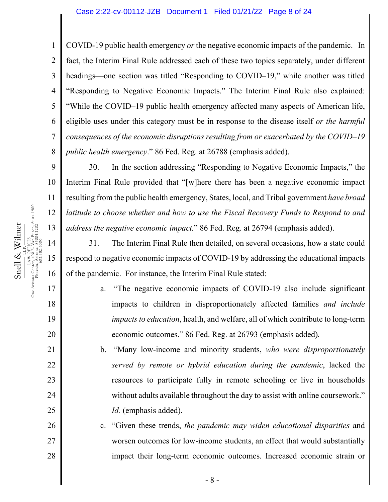4 6 7 COVID-19 public health emergency *or* the negative economic impacts of the pandemic. In fact, the Interim Final Rule addressed each of these two topics separately, under different headings—one section was titled "Responding to COVID–19," while another was titled "Responding to Negative Economic Impacts." The Interim Final Rule also explained: "While the COVID–19 public health emergency affected many aspects of American life, eligible uses under this category must be in response to the disease itself *or the harmful consequences of the economic disruptions resulting from or exacerbated by the COVID–19 public health emergency*." 86 Fed. Reg. at 26788 (emphasis added).

30. In the section addressing "Responding to Negative Economic Impacts," the Interim Final Rule provided that "[w]here there has been a negative economic impact resulting from the public health emergency, States, local, and Tribal government *have broad latitude to choose whether and how to use the Fiscal Recovery Funds to Respond to and address the negative economic impact.*" 86 Fed. Reg. at 26794 (emphasis added).

31. The Interim Final Rule then detailed, on several occasions, how a state could respond to negative economic impacts of COVID-19 by addressing the educational impacts of the pandemic. For instance, the Interim Final Rule stated:

> a. "The negative economic impacts of COVID-19 also include significant impacts to children in disproportionately affected families *and include impacts to education*, health, and welfare, all of which contribute to long-term economic outcomes." 86 Fed. Reg. at 26793 (emphasis added)*.*

b. "Many low-income and minority students, *who were disproportionately served by remote or hybrid education during the pandemic*, lacked the resources to participate fully in remote schooling or live in households without adults available throughout the day to assist with online coursework." *Id.* (emphasis added).

c. "Given these trends, *the pandemic may widen educational disparities* and worsen outcomes for low-income students, an effect that would substantially impact their long-term economic outcomes. Increased economic strain or

1

2

3

5

8

9

10

11

18

19

20

21

22

23

24

25

26

27

28

- 8 -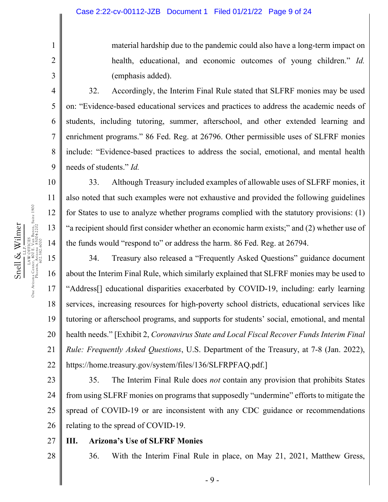material hardship due to the pandemic could also have a long-term impact on health, educational, and economic outcomes of young children." *Id.*  (emphasis added).

32. Accordingly, the Interim Final Rule stated that SLFRF monies may be used on: "Evidence-based educational services and practices to address the academic needs of students, including tutoring, summer, afterschool, and other extended learning and enrichment programs." 86 Fed. Reg. at 26796. Other permissible uses of SLFRF monies include: "Evidence-based practices to address the social, emotional, and mental health needs of students." *Id.* 

33. Although Treasury included examples of allowable uses of SLFRF monies, it also noted that such examples were not exhaustive and provided the following guidelines for States to use to analyze whether programs complied with the statutory provisions: (1) "a recipient should first consider whether an economic harm exists;" and (2) whether use of the funds would "respond to" or address the harm. 86 Fed. Reg. at 26794.

18 19 20 21 22 34. Treasury also released a "Frequently Asked Questions" guidance document about the Interim Final Rule, which similarly explained that SLFRF monies may be used to "Address[] educational disparities exacerbated by COVID-19, including: early learning services, increasing resources for high-poverty school districts, educational services like tutoring or afterschool programs, and supports for students' social, emotional, and mental health needs." [Exhibit 2, *Coronavirus State and Local Fiscal Recover Funds Interim Final Rule: Frequently Asked Questions*, U.S. Department of the Treasury, at 7-8 (Jan. 2022), https://home.treasury.gov/system/files/136/SLFRPFAQ.pdf.]

23 24 25 26 35. The Interim Final Rule does *not* contain any provision that prohibits States from using SLFRF monies on programs that supposedly "undermine" efforts to mitigate the spread of COVID-19 or are inconsistent with any CDC guidance or recommendations relating to the spread of COVID-19.

27 28

#### **III. Arizona's Use of SLFRF Monies**

36. With the Interim Final Rule in place, on May 21, 2021, Matthew Gress,

LAW OFFICES<br>One Atizona Center, 400 E. Van Buren, Suite 1900<br>Phoenix, Arizona 85004-2202<br>602.382.6000 One Arizona Center, 400 E. Van Buren, Suite 1900 Snell & Wilmer Phoenix, Arizona 85004-2202 Snell & Wilmer 13 LAW OFFICES 602.382.6000 14 15 16 17

1

2

3

4

5

6

7

8

9

10

11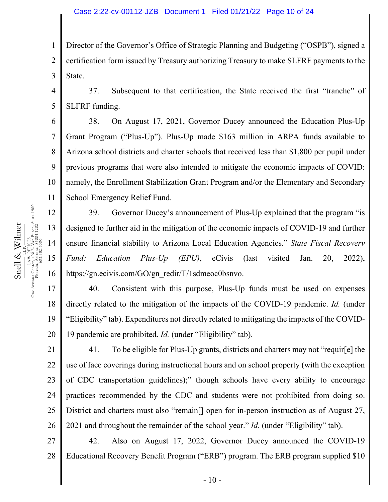1 2 3 Director of the Governor's Office of Strategic Planning and Budgeting ("OSPB"), signed a certification form issued by Treasury authorizing Treasury to make SLFRF payments to the State.

4 5 37. Subsequent to that certification, the State received the first "tranche" of SLFRF funding.

38. On August 17, 2021, Governor Ducey announced the Education Plus-Up Grant Program ("Plus-Up"). Plus-Up made \$163 million in ARPA funds available to Arizona school districts and charter schools that received less than \$1,800 per pupil under previous programs that were also intended to mitigate the economic impacts of COVID: namely, the Enrollment Stabilization Grant Program and/or the Elementary and Secondary School Emergency Relief Fund.

39. Governor Ducey's announcement of Plus-Up explained that the program "is designed to further aid in the mitigation of the economic impacts of COVID-19 and further ensure financial stability to Arizona Local Education Agencies." *State Fiscal Recovery Fund: Education Plus-Up (EPU)*, eCivis (last visited Jan. 20, 2022), https://gn.ecivis.com/GO/gn\_redir/T/1sdmeoc0bsnvo.

19 20 40. Consistent with this purpose, Plus-Up funds must be used on expenses directly related to the mitigation of the impacts of the COVID-19 pandemic. *Id.* (under "Eligibility" tab). Expenditures not directly related to mitigating the impacts of the COVID-19 pandemic are prohibited. *Id.* (under "Eligibility" tab).

21 22 23 24 25 26 41. To be eligible for Plus-Up grants, districts and charters may not "requir[e] the use of face coverings during instructional hours and on school property (with the exception of CDC transportation guidelines);" though schools have every ability to encourage practices recommended by the CDC and students were not prohibited from doing so. District and charters must also "remain<sup>[]</sup> open for in-person instruction as of August 27, 2021 and throughout the remainder of the school year." *Id.* (under "Eligibility" tab).

27 28 42. Also on August 17, 2022, Governor Ducey announced the COVID-19 Educational Recovery Benefit Program ("ERB") program. The ERB program supplied \$10

6

7

8

9

10

11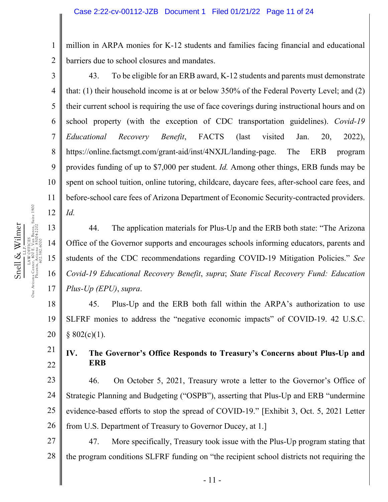million in ARPA monies for K-12 students and families facing financial and educational barriers due to school closures and mandates.

3 4 5 6 7 8 9 10 11 12 43. To be eligible for an ERB award, K-12 students and parents must demonstrate that: (1) their household income is at or below 350% of the Federal Poverty Level; and (2) their current school is requiring the use of face coverings during instructional hours and on school property (with the exception of CDC transportation guidelines). *Covid-19 Educational Recovery Benefit*, FACTS (last visited Jan. 20, 2022), https://online.factsmgt.com/grant-aid/inst/4NXJL/landing-page. The ERB program provides funding of up to \$7,000 per student. *Id.* Among other things, ERB funds may be spent on school tuition, online tutoring, childcare, daycare fees, after-school care fees, and before-school care fees of Arizona Department of Economic Security-contracted providers. *Id.*

44. The application materials for Plus-Up and the ERB both state: "The Arizona Office of the Governor supports and encourages schools informing educators, parents and students of the CDC recommendations regarding COVID-19 Mitigation Policies." *See Covid-19 Educational Recovery Benefit*, *supra*; *State Fiscal Recovery Fund: Education Plus-Up (EPU)*, *supra*.

18 19 20 45. Plus-Up and the ERB both fall within the ARPA's authorization to use SLFRF monies to address the "negative economic impacts" of COVID-19. 42 U.S.C.  $§ 802(c)(1).$ 

## **IV. The Governor's Office Responds to Treasury's Concerns about Plus-Up and ERB**

23 24 25 26 46. On October 5, 2021, Treasury wrote a letter to the Governor's Office of Strategic Planning and Budgeting ("OSPB"), asserting that Plus-Up and ERB "undermine evidence-based efforts to stop the spread of COVID-19." [Exhibit 3, Oct. 5, 2021 Letter from U.S. Department of Treasury to Governor Ducey, at 1.]

27 28 47. More specifically, Treasury took issue with the Plus-Up program stating that the program conditions SLFRF funding on "the recipient school districts not requiring the

13

14

15

16

17

21

22

1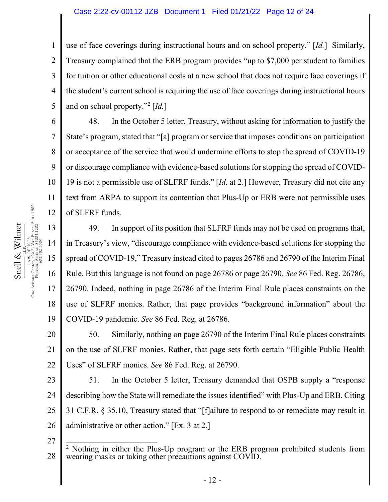#### Case 2:22-cv-00112-JZB Document 1 Filed 01/21/22 Page 12 of 24

2 3 4 5 use of face coverings during instructional hours and on school property." [*Id.*] Similarly, Treasury complained that the ERB program provides "up to \$7,000 per student to families for tuition or other educational costs at a new school that does not require face coverings if the student's current school is requiring the use of face coverings during instructional hours and on school property."2 [*Id.*]

48. In the October 5 letter, Treasury, without asking for information to justify the State's program, stated that "[a] program or service that imposes conditions on participation or acceptance of the service that would undermine efforts to stop the spread of COVID-19 or discourage compliance with evidence-based solutions for stopping the spread of COVID-19 is not a permissible use of SLFRF funds." [*Id.* at 2.] However, Treasury did not cite any text from ARPA to support its contention that Plus-Up or ERB were not permissible uses of SLFRF funds.

14 16 17 18 19 49. In support of its position that SLFRF funds may not be used on programs that, in Treasury's view, "discourage compliance with evidence-based solutions for stopping the spread of COVID-19," Treasury instead cited to pages 26786 and 26790 of the Interim Final Rule. But this language is not found on page 26786 or page 26790. *See* 86 Fed. Reg. 26786, 26790. Indeed, nothing in page 26786 of the Interim Final Rule places constraints on the use of SLFRF monies. Rather, that page provides "background information" about the COVID-19 pandemic. *See* 86 Fed. Reg. at 26786.

20 21 22 50. Similarly, nothing on page 26790 of the Interim Final Rule places constraints on the use of SLFRF monies. Rather, that page sets forth certain "Eligible Public Health Uses" of SLFRF monies. *See* 86 Fed. Reg. at 26790.

23 24 25 26 51. In the October 5 letter, Treasury demanded that OSPB supply a "response describing how the State will remediate the issues identified" with Plus-Up and ERB. Citing 31 C.F.R. § 35.10, Treasury stated that "[f]ailure to respond to or remediate may result in administrative or other action." [Ex. 3 at 2.]

1

6

7

8

9

10

11

12

13

<sup>27</sup>  28 <sup>2</sup> Nothing in either the Plus-Up program or the ERB program prohibited students from wearing masks or taking other precautions against COVID.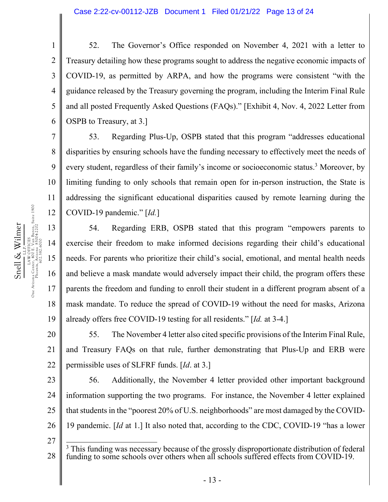4 5 6 52. The Governor's Office responded on November 4, 2021 with a letter to Treasury detailing how these programs sought to address the negative economic impacts of COVID-19, as permitted by ARPA, and how the programs were consistent "with the guidance released by the Treasury governing the program, including the Interim Final Rule and all posted Frequently Asked Questions (FAQs)." [Exhibit 4, Nov. 4, 2022 Letter from OSPB to Treasury, at 3.]

53. Regarding Plus-Up, OSPB stated that this program "addresses educational disparities by ensuring schools have the funding necessary to effectively meet the needs of every student, regardless of their family's income or socioeconomic status.<sup>3</sup> Moreover, by limiting funding to only schools that remain open for in-person instruction, the State is addressing the significant educational disparities caused by remote learning during the COVID-19 pandemic." [*Id.*]

54. Regarding ERB, OSPB stated that this program "empowers parents to exercise their freedom to make informed decisions regarding their child's educational needs. For parents who prioritize their child's social, emotional, and mental health needs and believe a mask mandate would adversely impact their child, the program offers these parents the freedom and funding to enroll their student in a different program absent of a mask mandate. To reduce the spread of COVID-19 without the need for masks, Arizona already offers free COVID-19 testing for all residents." [*Id.* at 3-4.]

20 21 22 55. The November 4 letter also cited specific provisions of the Interim Final Rule, and Treasury FAQs on that rule, further demonstrating that Plus-Up and ERB were permissible uses of SLFRF funds. [*Id*. at 3.]

23 24 25 26 56. Additionally, the November 4 letter provided other important background information supporting the two programs. For instance, the November 4 letter explained that students in the "poorest 20% of U.S. neighborhoods" are most damaged by the COVID-19 pandemic. [*Id* at 1.] It also noted that, according to the CDC, COVID-19 "has a lower

1

2

3

7

8

9

10

11

18

<sup>27</sup>  28 <sup>3</sup> This funding was necessary because of the grossly disproportionate distribution of federal funding to some schools over others when all schools suffered effects from COVID-19.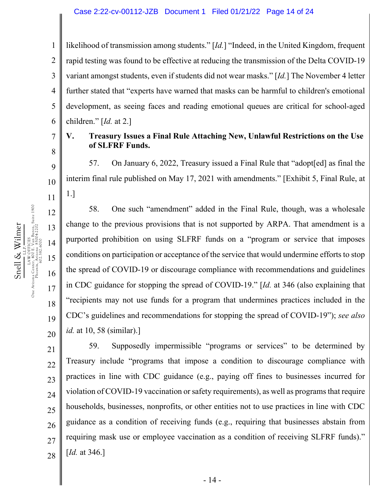1 2 3 4 5 6 likelihood of transmission among students." [*Id.*] "Indeed, in the United Kingdom, frequent rapid testing was found to be effective at reducing the transmission of the Delta COVID-19 variant amongst students, even if students did not wear masks." [*Id.*] The November 4 letter further stated that "experts have warned that masks can be harmful to children's emotional development, as seeing faces and reading emotional queues are critical for school-aged children." [*Id.* at 2.]

# 7

8

9

10

11

12

13

14

15

16

17

18

19

20

#### **V. Treasury Issues a Final Rule Attaching New, Unlawful Restrictions on the Use of SLFRF Funds.**

57. On January 6, 2022, Treasury issued a Final Rule that "adopt[ed] as final the interim final rule published on May 17, 2021 with amendments." [Exhibit 5, Final Rule, at 1.]

58. One such "amendment" added in the Final Rule, though, was a wholesale change to the previous provisions that is not supported by ARPA. That amendment is a purported prohibition on using SLFRF funds on a "program or service that imposes conditions on participation or acceptance of the service that would undermine efforts to stop the spread of COVID-19 or discourage compliance with recommendations and guidelines in CDC guidance for stopping the spread of COVID-19." [*Id.* at 346 (also explaining that "recipients may not use funds for a program that undermines practices included in the CDC's guidelines and recommendations for stopping the spread of COVID-19"); *see also id.* at 10, 58 (similar).]

21 22 23 24 25 26 27 28 59. Supposedly impermissible "programs or services" to be determined by Treasury include "programs that impose a condition to discourage compliance with practices in line with CDC guidance (e.g., paying off fines to businesses incurred for violation of COVID-19 vaccination or safety requirements), as well as programs that require households, businesses, nonprofits, or other entities not to use practices in line with CDC guidance as a condition of receiving funds (e.g., requiring that businesses abstain from requiring mask use or employee vaccination as a condition of receiving SLFRF funds)." [*Id.* at 346.]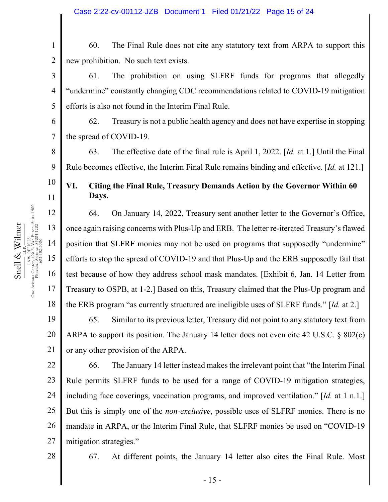1 2 60. The Final Rule does not cite any statutory text from ARPA to support this new prohibition. No such text exists.

61. The prohibition on using SLFRF funds for programs that allegedly "undermine" constantly changing CDC recommendations related to COVID-19 mitigation efforts is also not found in the Interim Final Rule.

62. Treasury is not a public health agency and does not have expertise in stopping the spread of COVID-19.

63. The effective date of the final rule is April 1, 2022. [*Id.* at 1.] Until the Final Rule becomes effective, the Interim Final Rule remains binding and effective. [*Id.* at 121.]

## **VI. Citing the Final Rule, Treasury Demands Action by the Governor Within 60 Days.**

64. On January 14, 2022, Treasury sent another letter to the Governor's Office, once again raising concerns with Plus-Up and ERB. The letter re-iterated Treasury's flawed position that SLFRF monies may not be used on programs that supposedly "undermine" efforts to stop the spread of COVID-19 and that Plus-Up and the ERB supposedly fail that test because of how they address school mask mandates. [Exhibit 6, Jan. 14 Letter from Treasury to OSPB, at 1-2.] Based on this, Treasury claimed that the Plus-Up program and the ERB program "as currently structured are ineligible uses of SLFRF funds." [*Id.* at 2.]

19 20 21 65. Similar to its previous letter, Treasury did not point to any statutory text from ARPA to support its position. The January 14 letter does not even cite 42 U.S.C. § 802(c) or any other provision of the ARPA.

22 23 24 25 26 27 66. The January 14 letter instead makes the irrelevant point that "the Interim Final Rule permits SLFRF funds to be used for a range of COVID-19 mitigation strategies, including face coverings, vaccination programs, and improved ventilation." [*Id.* at 1 n.1.] But this is simply one of the *non-exclusive*, possible uses of SLFRF monies. There is no mandate in ARPA, or the Interim Final Rule, that SLFRF monies be used on "COVID-19 mitigation strategies."

28

3

4

5

6

7

8

9

10

11

12

13

14

15

Snell & Wilmer L.L.P. LAW OFFICES One Arizona Center, 400 E. Van Buren, Suite 1900 Phoenix, Arizona 85004-2202 602.382.6000

Snell & Wilmer

16

17

18

67. At different points, the January 14 letter also cites the Final Rule. Most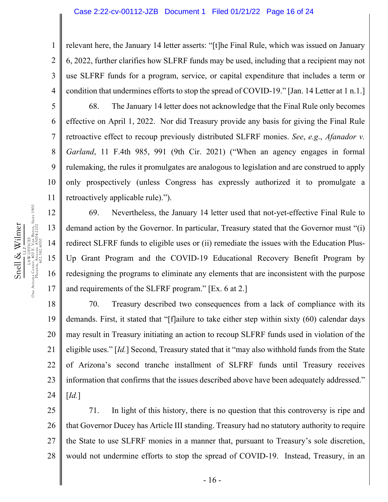relevant here, the January 14 letter asserts: "[t]he Final Rule, which was issued on January 6, 2022, further clarifies how SLFRF funds may be used, including that a recipient may not use SLFRF funds for a program, service, or capital expenditure that includes a term or condition that undermines efforts to stop the spread of COVID-19." [Jan. 14 Letter at 1 n.1.]

68. The January 14 letter does not acknowledge that the Final Rule only becomes effective on April 1, 2022. Nor did Treasury provide any basis for giving the Final Rule retroactive effect to recoup previously distributed SLFRF monies. *See*, *e.g*., *Afanador v. Garland*, 11 F.4th 985, 991 (9th Cir. 2021) ("When an agency engages in formal rulemaking, the rules it promulgates are analogous to legislation and are construed to apply only prospectively (unless Congress has expressly authorized it to promulgate a retroactively applicable rule).").

69. Nevertheless, the January 14 letter used that not-yet-effective Final Rule to demand action by the Governor. In particular, Treasury stated that the Governor must "(i) redirect SLFRF funds to eligible uses or (ii) remediate the issues with the Education Plus-Up Grant Program and the COVID-19 Educational Recovery Benefit Program by redesigning the programs to eliminate any elements that are inconsistent with the purpose and requirements of the SLFRF program." [Ex. 6 at 2.]

18 19 20 21 22 23 24 70. Treasury described two consequences from a lack of compliance with its demands. First, it stated that "[f]ailure to take either step within sixty (60) calendar days may result in Treasury initiating an action to recoup SLFRF funds used in violation of the eligible uses." [*Id.*] Second, Treasury stated that it "may also withhold funds from the State of Arizona's second tranche installment of SLFRF funds until Treasury receives information that confirms that the issues described above have been adequately addressed." [*Id.*]

25 26 27 28 71. In light of this history, there is no question that this controversy is ripe and that Governor Ducey has Article III standing. Treasury had no statutory authority to require the State to use SLFRF monies in a manner that, pursuant to Treasury's sole discretion, would not undermine efforts to stop the spread of COVID-19. Instead, Treasury, in an

1

2

3

4

5

6

7

8

9

10

11

- 16 -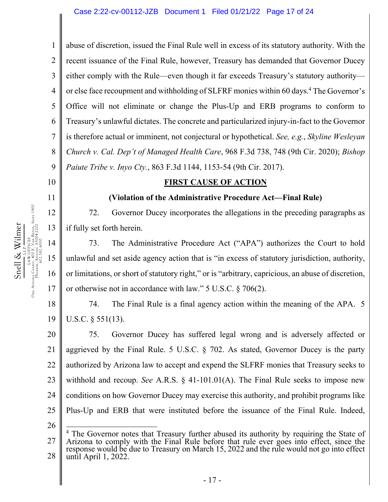1 2 3 4 5 6 7 8 9 abuse of discretion, issued the Final Rule well in excess of its statutory authority. With the recent issuance of the Final Rule, however, Treasury has demanded that Governor Ducey either comply with the Rule—even though it far exceeds Treasury's statutory authority or else face recoupment and withholding of SLFRF monies within 60 days.<sup>4</sup> The Governor's Office will not eliminate or change the Plus-Up and ERB programs to conform to Treasury's unlawful dictates. The concrete and particularized injury-in-fact to the Governor is therefore actual or imminent, not conjectural or hypothetical. *See, e.g.*, *Skyline Wesleyan Church v. Cal. Dep't of Managed Health Care*, 968 F.3d 738, 748 (9th Cir. 2020); *Bishop Paiute Tribe v. Inyo Cty.*, 863 F.3d 1144, 1153-54 (9th Cir. 2017).

10

11

12

13

14

15

Snell & Wilmer L.L.P. LAW OFFICES One Arizona Center, 400 E. Van Buren, Suite 1900 Phoenix, Arizona 85004-2202 602.382.6000

Snell & Wilmer

16

17

**FIRST CAUSE OF ACTION** 

#### **(Violation of the Administrative Procedure Act—Final Rule)**

72. Governor Ducey incorporates the allegations in the preceding paragraphs as if fully set forth herein.

73. The Administrative Procedure Act ("APA") authorizes the Court to hold unlawful and set aside agency action that is "in excess of statutory jurisdiction, authority, or limitations, or short of statutory right," or is "arbitrary, capricious, an abuse of discretion, or otherwise not in accordance with law." 5 U.S.C. § 706(2).

18 19 74. The Final Rule is a final agency action within the meaning of the APA. 5 U.S.C. § 551(13).

20 21 22 23 24 25 75. Governor Ducey has suffered legal wrong and is adversely affected or aggrieved by the Final Rule. 5 U.S.C. § 702. As stated, Governor Ducey is the party authorized by Arizona law to accept and expend the SLFRF monies that Treasury seeks to withhold and recoup. *See* A.R.S. § 41-101.01(A). The Final Rule seeks to impose new conditions on how Governor Ducey may exercise this authority, and prohibit programs like Plus-Up and ERB that were instituted before the issuance of the Final Rule. Indeed,

<sup>27</sup>  28 <sup>4</sup> The Governor notes that Treasury further abused its authority by requiring the State of Arizona to comply with the Final Rule before that rule ever goes into effect, since the response would be due to Treasury on March 15, 2022 and the rule would not go into effect until April 1, 2022.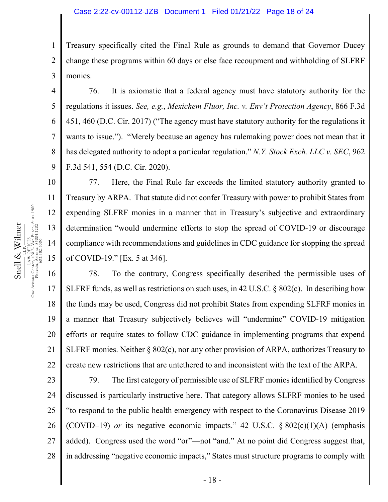1 2 3 Treasury specifically cited the Final Rule as grounds to demand that Governor Ducey change these programs within 60 days or else face recoupment and withholding of SLFRF monies.

4 5 6 7 8 9 76. It is axiomatic that a federal agency must have statutory authority for the regulations it issues. *See, e.g.*, *Mexichem Fluor, Inc. v. Env't Protection Agency*, 866 F.3d 451, 460 (D.C. Cir. 2017) ("The agency must have statutory authority for the regulations it wants to issue."). "Merely because an agency has rulemaking power does not mean that it has delegated authority to adopt a particular regulation." *N.Y. Stock Exch. LLC v. SEC*, 962 F.3d 541, 554 (D.C. Cir. 2020).

77. Here, the Final Rule far exceeds the limited statutory authority granted to Treasury by ARPA. That statute did not confer Treasury with power to prohibit States from expending SLFRF monies in a manner that in Treasury's subjective and extraordinary determination "would undermine efforts to stop the spread of COVID-19 or discourage compliance with recommendations and guidelines in CDC guidance for stopping the spread of COVID-19." [Ex. 5 at 346].

16 17 18 19 20 21 22 78. To the contrary, Congress specifically described the permissible uses of SLFRF funds, as well as restrictions on such uses, in 42 U.S.C. § 802(c). In describing how the funds may be used, Congress did not prohibit States from expending SLFRF monies in a manner that Treasury subjectively believes will "undermine" COVID-19 mitigation efforts or require states to follow CDC guidance in implementing programs that expend SLFRF monies. Neither  $\S 802(c)$ , nor any other provision of ARPA, authorizes Treasury to create new restrictions that are untethered to and inconsistent with the text of the ARPA.

23 24 25 26 27 28 79. The first category of permissible use of SLFRF monies identified by Congress discussed is particularly instructive here. That category allows SLFRF monies to be used "to respond to the public health emergency with respect to the Coronavirus Disease 2019 (COVID–19) *or* its negative economic impacts." 42 U.S.C.  $\S 802(c)(1)(A)$  (emphasis added). Congress used the word "or"—not "and." At no point did Congress suggest that, in addressing "negative economic impacts," States must structure programs to comply with

10

11

12

13

14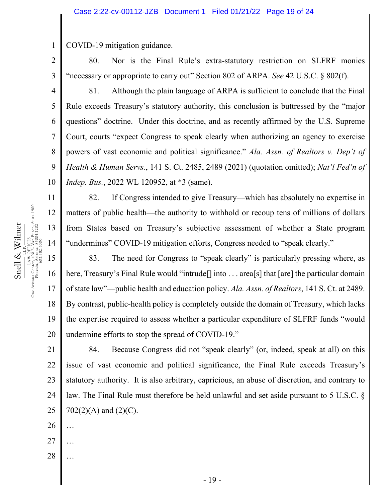COVID-19 mitigation guidance.

80. Nor is the Final Rule's extra-statutory restriction on SLFRF monies "necessary or appropriate to carry out" Section 802 of ARPA. *See* 42 U.S.C. § 802(f).

3 4

5

6

7

8

9

10

11

12

13

14

Snell & Wilmer L.L.P. LAW OFFICES One Arizona Center, 400 E. Van Buren, Suite 1900 Phoenix, Arizona 85004-2202 602.382.6000

Snell & Wilmer

LAW OFFICES<br>One Arizona Center, 400 E. Van Buren, Suite 1900<br>Phoenix, Angle 1980-4-2202<br>2.1382.600-4-282.202

1

2

81. Although the plain language of ARPA is sufficient to conclude that the Final Rule exceeds Treasury's statutory authority, this conclusion is buttressed by the "major questions" doctrine. Under this doctrine, and as recently affirmed by the U.S. Supreme Court, courts "expect Congress to speak clearly when authorizing an agency to exercise powers of vast economic and political significance." *Ala. Assn. of Realtors v. Dep't of Health & Human Servs.*, 141 S. Ct. 2485, 2489 (2021) (quotation omitted); *Nat'l Fed'n of Indep. Bus.*, 2022 WL 120952, at \*3 (same).

82. If Congress intended to give Treasury—which has absolutely no expertise in matters of public health—the authority to withhold or recoup tens of millions of dollars from States based on Treasury's subjective assessment of whether a State program "undermines" COVID-19 mitigation efforts, Congress needed to "speak clearly."

15 16 17 18 19 20 83. The need for Congress to "speak clearly" is particularly pressing where, as here, Treasury's Final Rule would "intrude<sup>[]</sup> into . . . area<sup>[</sup>s] that [are] the particular domain of state law"—public health and education policy. *Ala. Assn. of Realtors*, 141 S. Ct. at 2489. By contrast, public-health policy is completely outside the domain of Treasury, which lacks the expertise required to assess whether a particular expenditure of SLFRF funds "would undermine efforts to stop the spread of COVID-19."

21 22 23 24 25 84. Because Congress did not "speak clearly" (or, indeed, speak at all) on this issue of vast economic and political significance, the Final Rule exceeds Treasury's statutory authority. It is also arbitrary, capricious, an abuse of discretion, and contrary to law. The Final Rule must therefore be held unlawful and set aside pursuant to 5 U.S.C. §  $702(2)(A)$  and  $(2)(C)$ .

- 26 …
- 27 …
- 28 …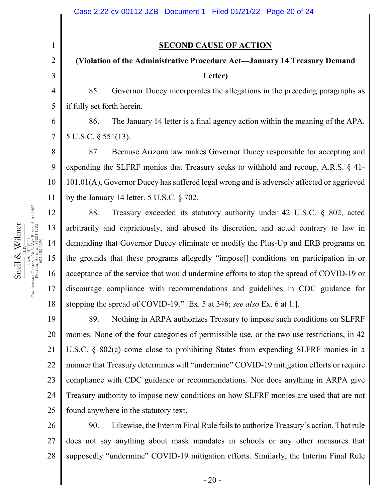#### **SECOND CAUSE OF ACTION**

# **(Violation of the Administrative Procedure Act—January 14 Treasury Demand Letter)**

85. Governor Ducey incorporates the allegations in the preceding paragraphs as if fully set forth herein.

86. The January 14 letter is a final agency action within the meaning of the APA. 5 U.S.C. § 551(13).

8 9 10 11 87. Because Arizona law makes Governor Ducey responsible for accepting and expending the SLFRF monies that Treasury seeks to withhold and recoup, A.R.S. § 41- 101.01(A), Governor Ducey has suffered legal wrong and is adversely affected or aggrieved by the January 14 letter. 5 U.S.C. § 702.

18 88. Treasury exceeded its statutory authority under 42 U.S.C. § 802, acted arbitrarily and capriciously, and abused its discretion, and acted contrary to law in demanding that Governor Ducey eliminate or modify the Plus-Up and ERB programs on the grounds that these programs allegedly "impose[] conditions on participation in or acceptance of the service that would undermine efforts to stop the spread of COVID-19 or discourage compliance with recommendations and guidelines in CDC guidance for stopping the spread of COVID-19." [Ex. 5 at 346; *see also* Ex. 6 at 1.].

19 20 21 22 23 24 25 89. Nothing in ARPA authorizes Treasury to impose such conditions on SLFRF monies. None of the four categories of permissible use, or the two use restrictions, in 42 U.S.C. § 802(c) come close to prohibiting States from expending SLFRF monies in a manner that Treasury determines will "undermine" COVID-19 mitigation efforts or require compliance with CDC guidance or recommendations. Nor does anything in ARPA give Treasury authority to impose new conditions on how SLFRF monies are used that are not found anywhere in the statutory text.

26 27 28 90. Likewise, the Interim Final Rule fails to authorize Treasury's action. That rule does not say anything about mask mandates in schools or any other measures that supposedly "undermine" COVID-19 mitigation efforts. Similarly, the Interim Final Rule

1

2

3

4

5

6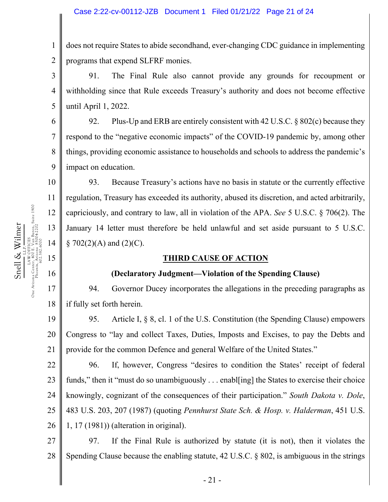1 2 does not require States to abide secondhand, ever-changing CDC guidance in implementing programs that expend SLFRF monies.

3 4 5 91. The Final Rule also cannot provide any grounds for recoupment or withholding since that Rule exceeds Treasury's authority and does not become effective until April 1, 2022.

6 7 8 9 92. Plus-Up and ERB are entirely consistent with 42 U.S.C. § 802(c) because they respond to the "negative economic impacts" of the COVID-19 pandemic by, among other things, providing economic assistance to households and schools to address the pandemic's impact on education.

93. Because Treasury's actions have no basis in statute or the currently effective regulation, Treasury has exceeded its authority, abused its discretion, and acted arbitrarily, capriciously, and contrary to law, all in violation of the APA. *See* 5 U.S.C. § 706(2). The January 14 letter must therefore be held unlawful and set aside pursuant to 5 U.S.C.  $\S$  702(2)(A) and (2)(C).

#### **THIRD CAUSE OF ACTION**

#### **(Declaratory Judgment—Violation of the Spending Clause)**

17 18 94. Governor Ducey incorporates the allegations in the preceding paragraphs as if fully set forth herein.

19 20 21 95. Article I, § 8, cl. 1 of the U.S. Constitution (the Spending Clause) empowers Congress to "lay and collect Taxes, Duties, Imposts and Excises, to pay the Debts and provide for the common Defence and general Welfare of the United States."

22 23 24 25 26 96. If, however, Congress "desires to condition the States' receipt of federal funds," then it "must do so unambiguously . . . enable ling the States to exercise their choice knowingly, cognizant of the consequences of their participation." *South Dakota v. Dole*, 483 U.S. 203, 207 (1987) (quoting *Pennhurst State Sch. & Hosp. v. Halderman*, 451 U.S. 1, 17 (1981)) (alteration in original).

27 28 97. If the Final Rule is authorized by statute (it is not), then it violates the Spending Clause because the enabling statute, 42 U.S.C. § 802, is ambiguous in the strings

10

11

12

13

14

15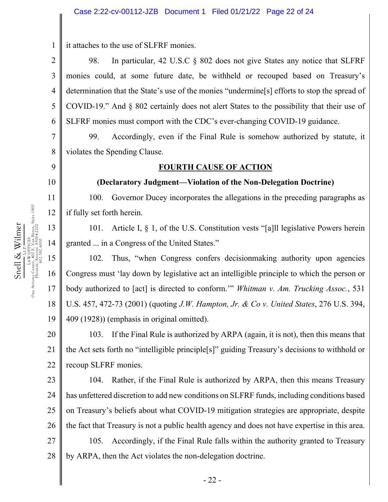it attaches to the use of SLFRF monies.

2 3 4 5 6 98. In particular, 42 U.S.C § 802 does not give States any notice that SLFRF monies could, at some future date, be withheld or recouped based on Treasury's determination that the State's use of the monies "undermine[s] efforts to stop the spread of COVID-19." And § 802 certainly does not alert States to the possibility that their use of SLFRF monies must comport with the CDC's ever-changing COVID-19 guidance.

7 8 99. Accordingly, even if the Final Rule is somehow authorized by statute, it violates the Spending Clause.

#### 9

1

#### 10

11

12

13

14

# **FOURTH CAUSE OF ACTION**

#### **(Declaratory Judgment—Violation of the Non-Delegation Doctrine)**

100. Governor Ducey incorporates the allegations in the preceding paragraphs as if fully set forth herein.

101. Article I, § 1, of the U.S. Constitution vests "[a]ll legislative Powers herein granted ... in a Congress of the United States."

15 16 17 18 19 102. Thus, "when Congress confers decisionmaking authority upon agencies Congress must 'lay down by legislative act an intelligible principle to which the person or body authorized to [act] is directed to conform.'" *Whitman v. Am. Trucking Assoc.*, 531 U.S. 457, 472-73 (2001) (quoting *J.W. Hampton, Jr. & Co v. United States*, 276 U.S. 394, 409 (1928)) (emphasis in original omitted).

20 21 22 103. If the Final Rule is authorized by ARPA (again, it is not), then this means that the Act sets forth no "intelligible principle[s]" guiding Treasury's decisions to withhold or recoup SLFRF monies.

23 24 25 26 27 104. Rather, if the Final Rule is authorized by ARPA, then this means Treasury has unfettered discretion to add new conditions on SLFRF funds, including conditions based on Treasury's beliefs about what COVID-19 mitigation strategies are appropriate, despite the fact that Treasury is not a public health agency and does not have expertise in this area. 105. Accordingly, if the Final Rule falls within the authority granted to Treasury

28 by ARPA, then the Act violates the non-delegation doctrine.

One Arizona Center, 400 E. Van Buren, Suite 1900 Snell & Wilmer Phoenix, Arizona 85004-2202 Snell & Wilmer LAW OFFICES 602.382.6000 L.L.P.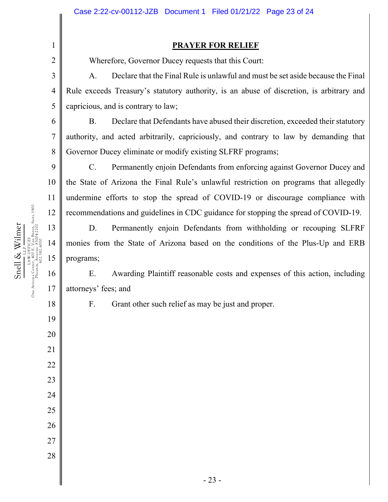#### **PRAYER FOR RELIEF**

Wherefore, Governor Ducey requests that this Court:

A. Declare that the Final Rule is unlawful and must be set aside because the Final Rule exceeds Treasury's statutory authority, is an abuse of discretion, is arbitrary and capricious, and is contrary to law;

B. Declare that Defendants have abused their discretion, exceeded their statutory authority, and acted arbitrarily, capriciously, and contrary to law by demanding that Governor Ducey eliminate or modify existing SLFRF programs;

C. Permanently enjoin Defendants from enforcing against Governor Ducey and the State of Arizona the Final Rule's unlawful restriction on programs that allegedly undermine efforts to stop the spread of COVID-19 or discourage compliance with recommendations and guidelines in CDC guidance for stopping the spread of COVID-19.

D. Permanently enjoin Defendants from withholding or recouping SLFRF monies from the State of Arizona based on the conditions of the Plus-Up and ERB programs;

16 17 E. Awarding Plaintiff reasonable costs and expenses of this action, including attorneys' fees; and

1

2

3

4

5

6

7

8

9

10

11

12

13

14

15

18

19

20

21

22

23

24

25

26

27

28

F. Grant other such relief as may be just and proper.

Dne Arizona Center, 400 EFICES<br>One Arizona Center, 400 E. Van Buren, Suite 1900<br>Phoenix, 602.382.6000<br>302.382.6000 One Arizona Center, 400 E. Van Buren, Suite 1900 Snell & Wilmer Phoenix, Arizona 85004-2202 Snell & Wilmer LAW OFFICES 602.382.6000 L.L.P.